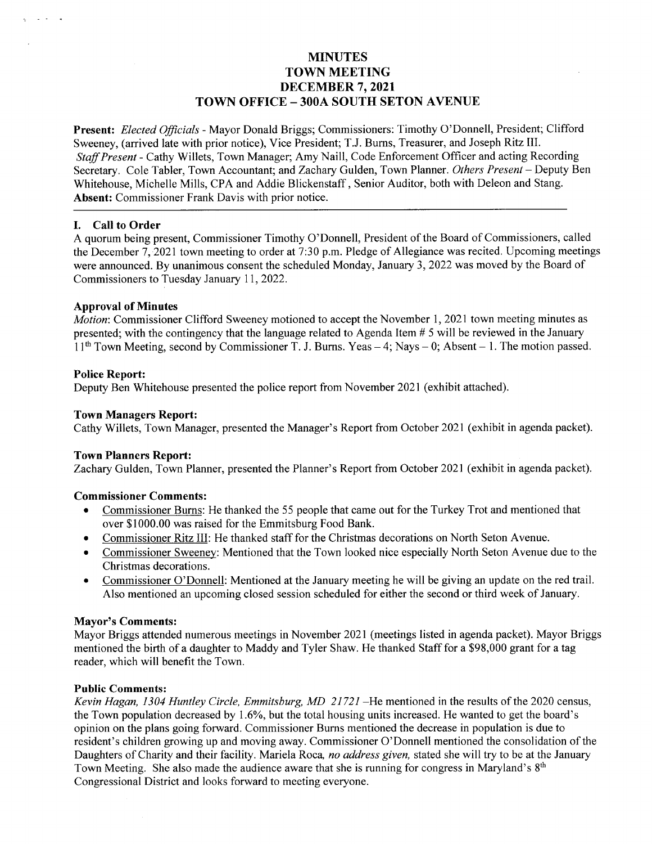# MINUTES **TOWN MEETING** DECEMBER 7, 2021 TOWN OFFICE - 300A SOUTH SETON AVENUE

Present: Elected Officials - Mayor Donald Briggs; Commissioners: Timothy O'Donnell, President; Clifford Sweeney, (arrived late with prior notice), Vice President; T.J. Burns, Treasurer, and Joseph Ritz III. Staff Present - Cathy Willets, Town Manager; Amy Naill, Code Enforcement Officer and acting Recording Secretary. Cole Tabler, Town Accountant; and Zachary Gulden, Town Planner. Others Present - Deputy Ben Whitehouse, Michelle Mills, CPA and Addie Blickenstaff, Senior Auditor, both with Deleon and Stang. Absent: Commissioner Frank Davis with prior notice.

# I. Call to Order

 $\omega \rightarrow 0$ 

A quorum being present, Commissioner Timothy O'Donnell, President of the Board of Commissioners, called the December 7, 2021 town meeting to order at 7:30 p.m. Pledge of Allegiance was recited. Upcoming meetings were announced. By unanimous consent the scheduled Monday, January 3, 2022 was moved by the Board of Commissioners to Tuesday January 11, 2022.

# Approval of Minutes

Motion: Commissioner Clifford Sweeney motioned to accept the November 1, 2021 town meeting minutes as presented; with the contingency that the language related to Agenda Item # 5 will be reviewed in the January  $11<sup>th</sup>$  Town Meeting, second by Commissioner T. J. Burns. Yeas  $-4$ ; Nays  $-0$ ; Absent  $-1$ . The motion passed.

# Police Report:

Deputy Ben Whitehouse presented the police report from November 2021 (exhibit attached).

# Town Managers Report:

Cathy Willets, Town Manager, presented the Manager's Report from October 2021 (exhibit in agenda packet).

# Town Planners Report:

Zachary Gulden, Town Planner, presented the Planner's Report from October 2021 (exhibit in agenda packet).

# Commissioner Comments:

- Commissioner Burns: He thanked the 55 people that came out for the Turkey Trot and mentioned that over \$1000.00 was raised for the Emmitsburg Food Bank.
- Commissioner Ritz III: He thanked staff for the Christmas decorations on North Seton Avenue.
- Commissioner Sweeney: Mentioned that the Town looked nice especially North Seton Avenue due to the Christmas decorations.
- Commissioner O'Donnell: Mentioned at the January meeting he will be giving an update on the red trail. Also mentioned an upcoming closed session scheduled for either the second or third week of January.

#### Mayor's Comments:

Mayor Briggs attended numerous meetings in November 2021 (meetings listed in agenda packet). Mayor Briggs mentioned the birth of a daughter to Maddy and Tyler Shaw. He thanked Staff for a \$98,000 grant for a tag reader, which will benefit the Town.

#### Public Comments:

Kevin Hagan, 1304 Huntley Circle, Emmitsburg, MD 21721 - He mentioned in the results of the 2020 census, the Town population decreased by 1.6%, but the total housing units increased. He wanted to get the board's opinion on the plans going forward. Commissioner Burns mentioned the decrease in population is due to resident's children growing up and moving away. Commissioner O'Donnell mentioned the consolidation of the Daughters of Charity and their facility. Mariela Roca, no address given, stated she will try to be at the January Town Meeting. She also made the audience aware that she is running for congress in Maryland's  $8<sup>th</sup>$ Congressional District and looks forward to meeting everyone.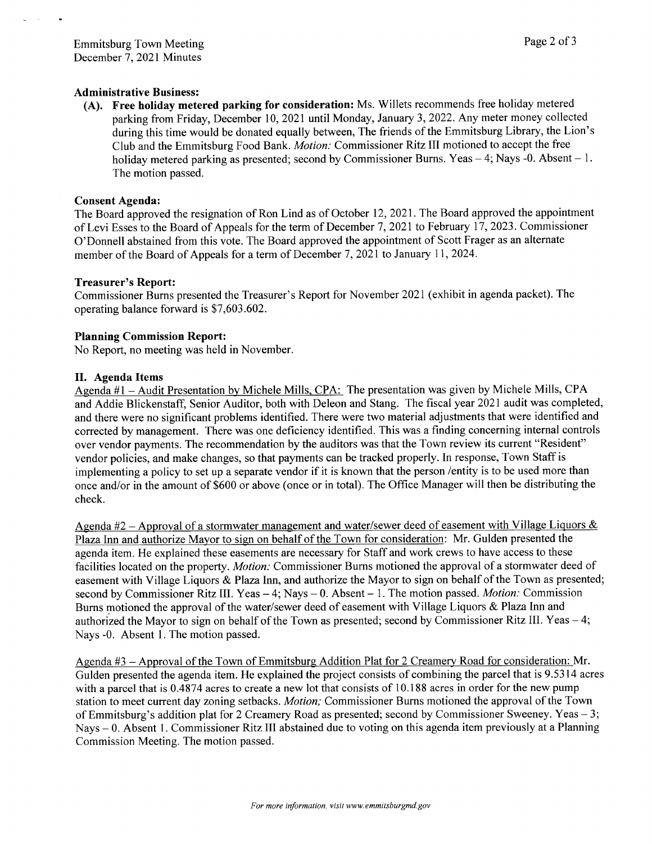# Administrative Business:

(A). Free holiday metered parking for consideration: Ms. Willets recommends free holiday metered parking from Friday, December 10, 2021 until Monday, January 3, 2022. Any meter money collected during this time would be donated equally between, The friends of the Emmitsburg Library, the Lion's Club and the Emmitsburg Food Bank. Motion: Commissioner Ritz III motioned to accept the free holiday metered parking as presented; second by Commissioner Burns. Yeas  $-4$ ; Nays -0. Absent  $-1$ . The motion passed.

# Consent Agenda:

The Board approved the resignation of Ron Lind as of October 12, 2021. The Board approved the appointment of Levi Esses to the Board of Appeals for the term of December 7, 2021 to February 17, 2023. Commissioner O'Donnell abstained from this vote. The Board approved the appointment of Scott Frager as an alternate member of the Board of Appeals for a term of December 7, 2021 to January 11, 2024.

# Treasurer's Report:

Commissioner Burns presented the Treasurer's Report for November 2021 (exhibit in agenda packet). The operating balance forward is \$7,603.602.

# Planning Commission Report:

No Report, no meeting was held in November.

# IL Agenda Items

Agenda #1 - Audit Presentation by Michele Mills, CPA: The presentation was given by Michele Mills, CPA and Addie Blickenstaff, Senior Auditor, both with Deleon and Stang. The fiscal year 2021 audit was completed, and there were no significant problems identified. There were two material adjustments that were identified and corrected by management. There was one deficiency identified. This was a finding concerning internal controls over vendor payments. The recommendation by the auditors was that the Town review its current "Resident" vendor policies, and make changes, so that payments can be tracked properly. In response, Town Staff is implementing a policy to set up a separate vendor if it is known that the person /entity is to be used more than once and/or in the amount of \$600 or above (once or in total). The Office Manager will then be distributing the check.

Agenda #2 – Approval of a stormwater management and water/sewer deed of easement with Village Liquors  $\&$ Plaza Inn and authorize Mayor to sign on behalf of the Town for consideration: Mr. Gulden presented the agenda item. He explained these easements are necessary for Staff and work crews to have access to these facilities located on the property. Motion: Commissioner Burns motioned the approval of a stormwater deed of easement with Village Liquors & Plaza Inn, and authorize the Mayor to sign on behalf of the Town as presented; second by Commissioner Ritz III. Yeas  $-4$ ; Nays  $-0$ . Absent  $-1$ . The motion passed. *Motion:* Commission Burns motioned the approval of the water/sewer deed of easement with Village Liquors & Plaza Inn and authorized the Mayor to sign on behalf of the Town as presented; second by Commissioner Ritz III. Yeas  $-4$ ; Nays -0. Absent 1. The motion passed.

Agenda #3 - Approval of the Town of Emmitsburg Addition Plat for 2 Creamery Road for consideration: Mr. Gulden presented the agenda item. He explained the project consists of combining the parcel that is 9.5314 acres with a parcel that is 0.4874 acres to create a new lot that consists of 10.188 acres in order for the new pump station to meet current day zoning setbacks. Motion: Commissioner Burns motioned the approval of the Town of Emmitsburg's addition plat for 2 Creamery Road as presented; second by Commissioner Sweeney. Yeas  $-3$ ; Nays - 0. Absent 1. Commissioner Ritz III abstained due to voting on this agenda item previously at a Planning Commission Meeting. The motion passed.